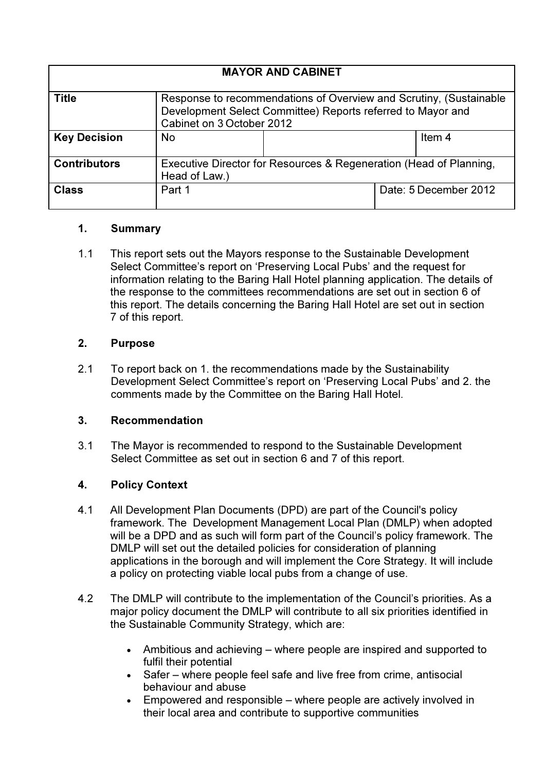| <b>MAYOR AND CABINET</b> |                                                                                                                                                                |  |                       |                   |  |  |  |
|--------------------------|----------------------------------------------------------------------------------------------------------------------------------------------------------------|--|-----------------------|-------------------|--|--|--|
| <b>Title</b>             | Response to recommendations of Overview and Scrutiny, (Sustainable<br>Development Select Committee) Reports referred to Mayor and<br>Cabinet on 3 October 2012 |  |                       |                   |  |  |  |
| <b>Key Decision</b>      | <b>No</b>                                                                                                                                                      |  |                       | Item <sub>4</sub> |  |  |  |
| <b>Contributors</b>      | Executive Director for Resources & Regeneration (Head of Planning,<br>Head of Law.)                                                                            |  |                       |                   |  |  |  |
| <b>Class</b>             | Part 1                                                                                                                                                         |  | Date: 5 December 2012 |                   |  |  |  |

### 1. Summary

1.1 This report sets out the Mayors response to the Sustainable Development Select Committee's report on 'Preserving Local Pubs' and the request for information relating to the Baring Hall Hotel planning application. The details of the response to the committees recommendations are set out in section 6 of this report. The details concerning the Baring Hall Hotel are set out in section 7 of this report.

### 2. Purpose

2.1 To report back on 1. the recommendations made by the Sustainability Development Select Committee's report on 'Preserving Local Pubs' and 2. the comments made by the Committee on the Baring Hall Hotel.

# 3. Recommendation

3.1 The Mayor is recommended to respond to the Sustainable Development Select Committee as set out in section 6 and 7 of this report.

# 4. Policy Context

- 4.1 All Development Plan Documents (DPD) are part of the Council's policy framework. The Development Management Local Plan (DMLP) when adopted will be a DPD and as such will form part of the Council's policy framework. The DMLP will set out the detailed policies for consideration of planning applications in the borough and will implement the Core Strategy. It will include a policy on protecting viable local pubs from a change of use.
- 4.2 The DMLP will contribute to the implementation of the Council's priorities. As a major policy document the DMLP will contribute to all six priorities identified in the Sustainable Community Strategy, which are:
	- Ambitious and achieving where people are inspired and supported to fulfil their potential
	- Safer where people feel safe and live free from crime, antisocial behaviour and abuse
	- Empowered and responsible where people are actively involved in their local area and contribute to supportive communities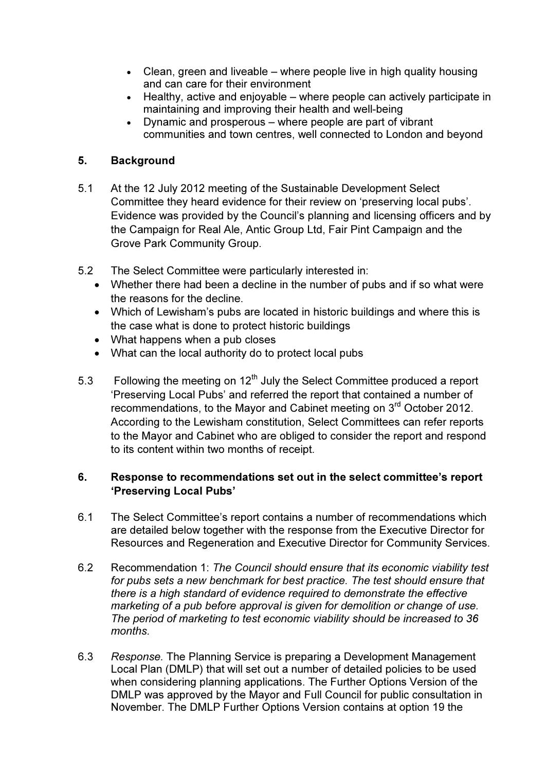- Clean, green and liveable where people live in high quality housing and can care for their environment
- Healthy, active and enjoyable where people can actively participate in maintaining and improving their health and well-being
- Dynamic and prosperous where people are part of vibrant communities and town centres, well connected to London and beyond

# 5. Background

- 5.1 At the 12 July 2012 meeting of the Sustainable Development Select Committee they heard evidence for their review on 'preserving local pubs'. Evidence was provided by the Council's planning and licensing officers and by the Campaign for Real Ale, Antic Group Ltd, Fair Pint Campaign and the Grove Park Community Group.
- 5.2 The Select Committee were particularly interested in:
	- Whether there had been a decline in the number of pubs and if so what were the reasons for the decline.
	- Which of Lewisham's pubs are located in historic buildings and where this is the case what is done to protect historic buildings
	- What happens when a pub closes
	- What can the local authority do to protect local pubs
- 5.3 Following the meeting on  $12<sup>th</sup>$  July the Select Committee produced a report 'Preserving Local Pubs' and referred the report that contained a number of recommendations, to the Mayor and Cabinet meeting on 3<sup>rd</sup> October 2012. According to the Lewisham constitution, Select Committees can refer reports to the Mayor and Cabinet who are obliged to consider the report and respond to its content within two months of receipt.

# 6. Response to recommendations set out in the select committee's report 'Preserving Local Pubs'

- 6.1 The Select Committee's report contains a number of recommendations which are detailed below together with the response from the Executive Director for Resources and Regeneration and Executive Director for Community Services.
- 6.2 Recommendation 1: The Council should ensure that its economic viability test for pubs sets a new benchmark for best practice. The test should ensure that there is a high standard of evidence required to demonstrate the effective marketing of a pub before approval is given for demolition or change of use. The period of marketing to test economic viability should be increased to 36 months.
- 6.3 Response. The Planning Service is preparing a Development Management Local Plan (DMLP) that will set out a number of detailed policies to be used when considering planning applications. The Further Options Version of the DMLP was approved by the Mayor and Full Council for public consultation in November. The DMLP Further Options Version contains at option 19 the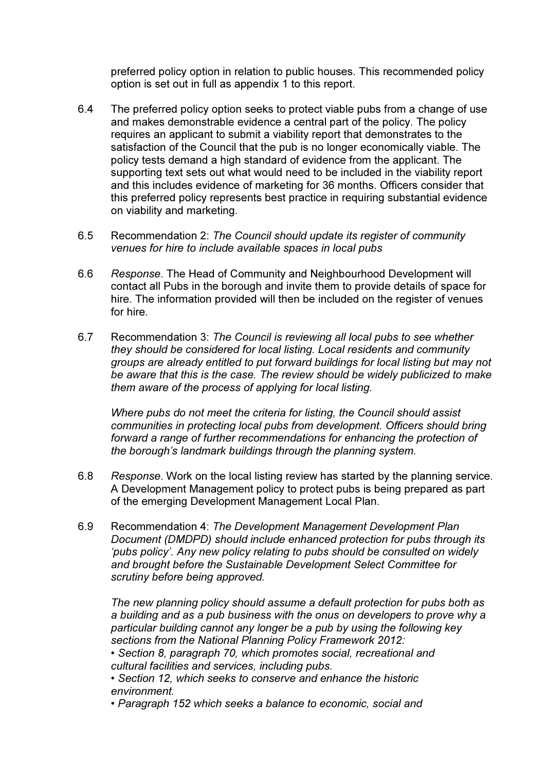preferred policy option in relation to public houses. This recommended policy option is set out in full as appendix 1 to this report.

- 6.4 The preferred policy option seeks to protect viable pubs from a change of use and makes demonstrable evidence a central part of the policy. The policy requires an applicant to submit a viability report that demonstrates to the satisfaction of the Council that the pub is no longer economically viable. The policy tests demand a high standard of evidence from the applicant. The supporting text sets out what would need to be included in the viability report and this includes evidence of marketing for 36 months. Officers consider that this preferred policy represents best practice in requiring substantial evidence on viability and marketing.
- 6.5 Recommendation 2: The Council should update its register of community venues for hire to include available spaces in local pubs
- 6.6 Response. The Head of Community and Neighbourhood Development will contact all Pubs in the borough and invite them to provide details of space for hire. The information provided will then be included on the register of venues for hire.
- 6.7 Recommendation 3: The Council is reviewing all local pubs to see whether they should be considered for local listing. Local residents and community groups are already entitled to put forward buildings for local listing but may not be aware that this is the case. The review should be widely publicized to make them aware of the process of applying for local listing.

Where pubs do not meet the criteria for listing, the Council should assist communities in protecting local pubs from development. Officers should bring forward a range of further recommendations for enhancing the protection of the borough's landmark buildings through the planning system.

- 6.8 Response. Work on the local listing review has started by the planning service. A Development Management policy to protect pubs is being prepared as part of the emerging Development Management Local Plan.
- 6.9 Recommendation 4: The Development Management Development Plan Document (DMDPD) should include enhanced protection for pubs through its 'pubs policy'. Any new policy relating to pubs should be consulted on widely and brought before the Sustainable Development Select Committee for scrutiny before being approved.

 The new planning policy should assume a default protection for pubs both as a building and as a pub business with the onus on developers to prove why a particular building cannot any longer be a pub by using the following key sections from the National Planning Policy Framework 2012:

 • Section 8, paragraph 70, which promotes social, recreational and cultural facilities and services, including pubs.

 • Section 12, which seeks to conserve and enhance the historic environment.

• Paragraph 152 which seeks a balance to economic, social and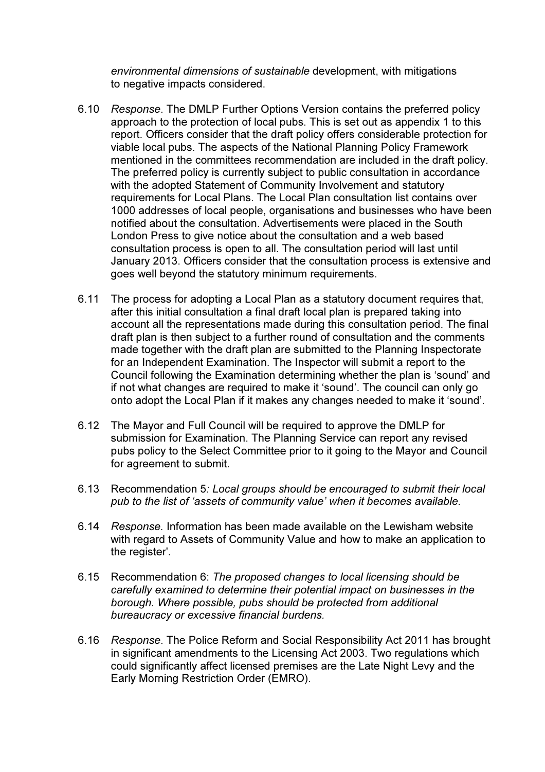environmental dimensions of sustainable development, with mitigations to negative impacts considered.

- 6.10 Response. The DMLP Further Options Version contains the preferred policy approach to the protection of local pubs. This is set out as appendix 1 to this report. Officers consider that the draft policy offers considerable protection for viable local pubs. The aspects of the National Planning Policy Framework mentioned in the committees recommendation are included in the draft policy. The preferred policy is currently subject to public consultation in accordance with the adopted Statement of Community Involvement and statutory requirements for Local Plans. The Local Plan consultation list contains over 1000 addresses of local people, organisations and businesses who have been notified about the consultation. Advertisements were placed in the South London Press to give notice about the consultation and a web based consultation process is open to all. The consultation period will last until January 2013. Officers consider that the consultation process is extensive and goes well beyond the statutory minimum requirements.
- 6.11 The process for adopting a Local Plan as a statutory document requires that, after this initial consultation a final draft local plan is prepared taking into account all the representations made during this consultation period. The final draft plan is then subject to a further round of consultation and the comments made together with the draft plan are submitted to the Planning Inspectorate for an Independent Examination. The Inspector will submit a report to the Council following the Examination determining whether the plan is 'sound' and if not what changes are required to make it 'sound'. The council can only go onto adopt the Local Plan if it makes any changes needed to make it 'sound'.
- 6.12 The Mayor and Full Council will be required to approve the DMLP for submission for Examination. The Planning Service can report any revised pubs policy to the Select Committee prior to it going to the Mayor and Council for agreement to submit.
- 6.13 Recommendation 5: Local groups should be encouraged to submit their local pub to the list of 'assets of community value' when it becomes available.
- 6.14 Response. Information has been made available on the Lewisham website with regard to Assets of Community Value and how to make an application to the register'.
- 6.15 Recommendation 6: The proposed changes to local licensing should be carefully examined to determine their potential impact on businesses in the borough. Where possible, pubs should be protected from additional bureaucracy or excessive financial burdens.
- 6.16 Response. The Police Reform and Social Responsibility Act 2011 has brought in significant amendments to the Licensing Act 2003. Two regulations which could significantly affect licensed premises are the Late Night Levy and the Early Morning Restriction Order (EMRO).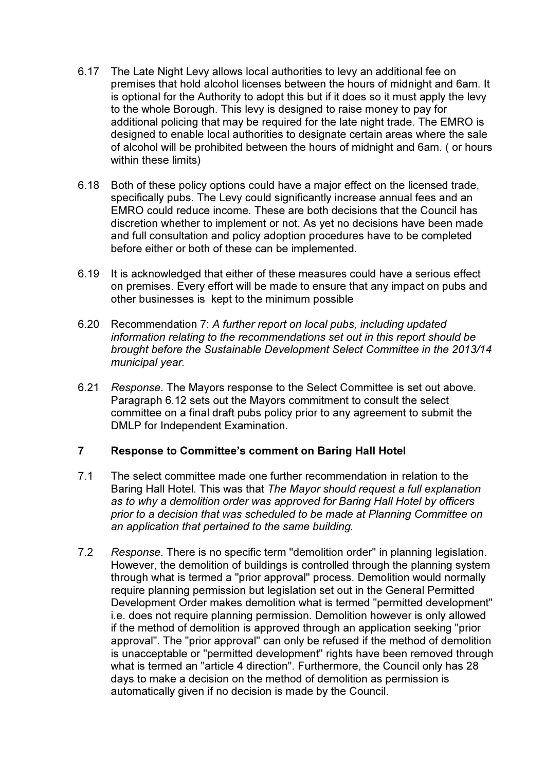- 6.17 The Late Night Levy allows local authorities to levy an additional fee on premises that hold alcohol licenses between the hours of midnight and 6am. It is optional for the Authority to adopt this but if it does so it must apply the levy to the whole Borough. This levy is designed to raise money to pay for additional policing that may be required for the late night trade. The EMRO is designed to enable local authorities to designate certain areas where the sale of alcohol will be prohibited between the hours of midnight and 6am. ( or hours within these limits)
- 6.18 Both of these policy options could have a major effect on the licensed trade, specifically pubs. The Levy could significantly increase annual fees and an EMRO could reduce income. These are both decisions that the Council has discretion whether to implement or not. As yet no decisions have been made and full consultation and policy adoption procedures have to be completed before either or both of these can be implemented.
- 6.19 It is acknowledged that either of these measures could have a serious effect on premises. Every effort will be made to ensure that any impact on pubs and other businesses is kept to the minimum possible
- 6.20 Recommendation 7: A further report on local pubs, including updated information relating to the recommendations set out in this report should be brought before the Sustainable Development Select Committee in the 2013/14 municipal year.
- 6.21 Response. The Mayors response to the Select Committee is set out above. Paragraph 6.12 sets out the Mayors commitment to consult the select committee on a final draft pubs policy prior to any agreement to submit the DMLP for Independent Examination.

### 7 Response to Committee's comment on Baring Hall Hotel

- 7.1 The select committee made one further recommendation in relation to the Baring Hall Hotel. This was that The Mayor should request a full explanation as to why a demolition order was approved for Baring Hall Hotel by officers prior to a decision that was scheduled to be made at Planning Committee on an application that pertained to the same building.
- 7.2 Response. There is no specific term "demolition order" in planning legislation. However, the demolition of buildings is controlled through the planning system through what is termed a "prior approval" process. Demolition would normally require planning permission but legislation set out in the General Permitted Development Order makes demolition what is termed "permitted development" i.e. does not require planning permission. Demolition however is only allowed if the method of demolition is approved through an application seeking "prior approval". The "prior approval" can only be refused if the method of demolition is unacceptable or "permitted development" rights have been removed through what is termed an "article 4 direction". Furthermore, the Council only has 28 days to make a decision on the method of demolition as permission is automatically given if no decision is made by the Council.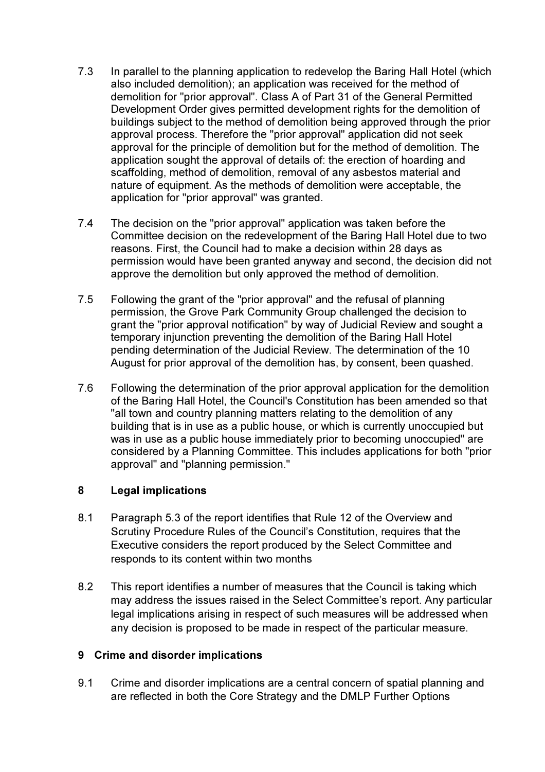- 7.3 In parallel to the planning application to redevelop the Baring Hall Hotel (which also included demolition); an application was received for the method of demolition for "prior approval". Class A of Part 31 of the General Permitted Development Order gives permitted development rights for the demolition of buildings subject to the method of demolition being approved through the prior approval process. Therefore the "prior approval" application did not seek approval for the principle of demolition but for the method of demolition. The application sought the approval of details of: the erection of hoarding and scaffolding, method of demolition, removal of any asbestos material and nature of equipment. As the methods of demolition were acceptable, the application for "prior approval" was granted.
- 7.4 The decision on the "prior approval" application was taken before the Committee decision on the redevelopment of the Baring Hall Hotel due to two reasons. First, the Council had to make a decision within 28 days as permission would have been granted anyway and second, the decision did not approve the demolition but only approved the method of demolition.
- 7.5 Following the grant of the "prior approval" and the refusal of planning permission, the Grove Park Community Group challenged the decision to grant the "prior approval notification" by way of Judicial Review and sought a temporary injunction preventing the demolition of the Baring Hall Hotel pending determination of the Judicial Review. The determination of the 10 August for prior approval of the demolition has, by consent, been quashed.
- 7.6 Following the determination of the prior approval application for the demolition of the Baring Hall Hotel, the Council's Constitution has been amended so that "all town and country planning matters relating to the demolition of any building that is in use as a public house, or which is currently unoccupied but was in use as a public house immediately prior to becoming unoccupied" are considered by a Planning Committee. This includes applications for both "prior approval" and "planning permission."

# 8 Legal implications

- 8.1 Paragraph 5.3 of the report identifies that Rule 12 of the Overview and Scrutiny Procedure Rules of the Council's Constitution, requires that the Executive considers the report produced by the Select Committee and responds to its content within two months
- 8.2 This report identifies a number of measures that the Council is taking which may address the issues raised in the Select Committee's report. Any particular legal implications arising in respect of such measures will be addressed when any decision is proposed to be made in respect of the particular measure.

# 9 Crime and disorder implications

9.1 Crime and disorder implications are a central concern of spatial planning and are reflected in both the Core Strategy and the DMLP Further Options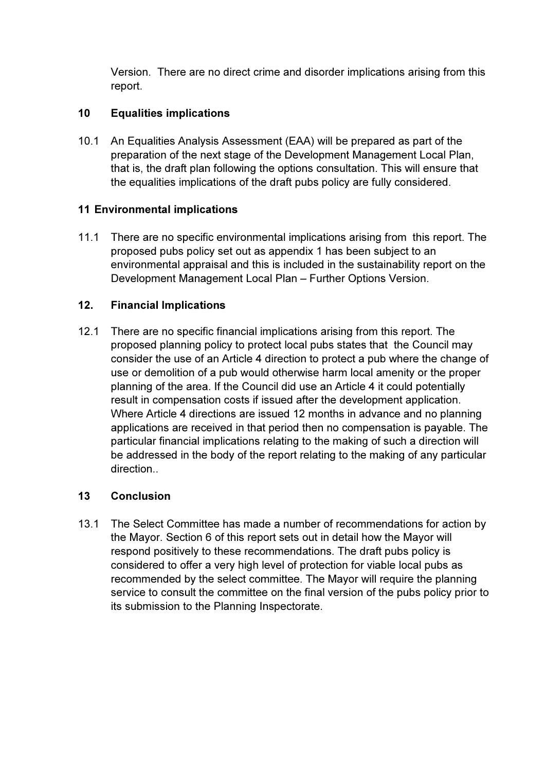Version. There are no direct crime and disorder implications arising from this report.

# 10 Equalities implications

10.1 An Equalities Analysis Assessment (EAA) will be prepared as part of the preparation of the next stage of the Development Management Local Plan, that is, the draft plan following the options consultation. This will ensure that the equalities implications of the draft pubs policy are fully considered.

# 11 Environmental implications

11.1 There are no specific environmental implications arising from this report. The proposed pubs policy set out as appendix 1 has been subject to an environmental appraisal and this is included in the sustainability report on the Development Management Local Plan – Further Options Version.

# 12. Financial Implications

12.1 There are no specific financial implications arising from this report. The proposed planning policy to protect local pubs states that the Council may consider the use of an Article 4 direction to protect a pub where the change of use or demolition of a pub would otherwise harm local amenity or the proper planning of the area. If the Council did use an Article 4 it could potentially result in compensation costs if issued after the development application. Where Article 4 directions are issued 12 months in advance and no planning applications are received in that period then no compensation is payable. The particular financial implications relating to the making of such a direction will be addressed in the body of the report relating to the making of any particular direction..

# 13 Conclusion

13.1 The Select Committee has made a number of recommendations for action by the Mayor. Section 6 of this report sets out in detail how the Mayor will respond positively to these recommendations. The draft pubs policy is considered to offer a very high level of protection for viable local pubs as recommended by the select committee. The Mayor will require the planning service to consult the committee on the final version of the pubs policy prior to its submission to the Planning Inspectorate.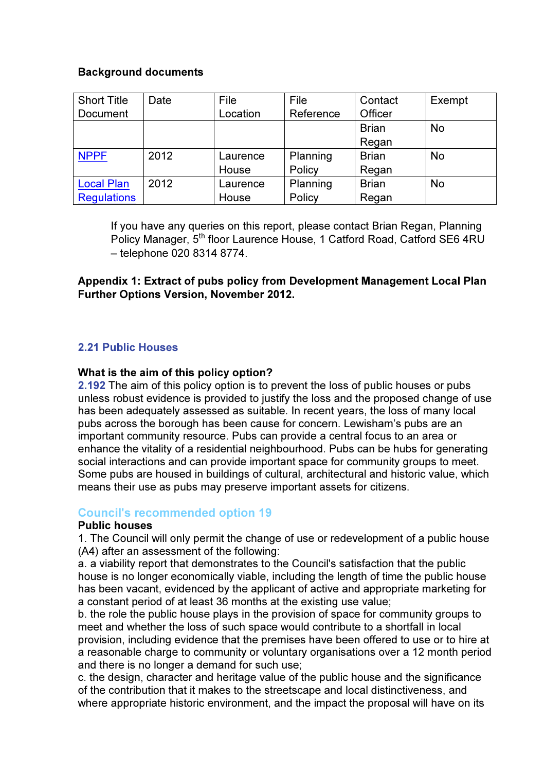### Background documents

| <b>Short Title</b> | Date | File     | File      | Contact      | Exempt    |
|--------------------|------|----------|-----------|--------------|-----------|
| <b>Document</b>    |      | Location | Reference | Officer      |           |
|                    |      |          |           | <b>Brian</b> | <b>No</b> |
|                    |      |          |           | Regan        |           |
| <b>NPPF</b>        | 2012 | Laurence | Planning  | <b>Brian</b> | <b>No</b> |
|                    |      | House    | Policy    | Regan        |           |
| <b>Local Plan</b>  | 2012 | Laurence | Planning  | <b>Brian</b> | <b>No</b> |
| <b>Regulations</b> |      | House    | Policy    | Regan        |           |

If you have any queries on this report, please contact Brian Regan, Planning Policy Manager, 5<sup>th</sup> floor Laurence House, 1 Catford Road, Catford SE6 4RU – telephone 020 8314 8774.

# Appendix 1: Extract of pubs policy from Development Management Local Plan Further Options Version, November 2012.

# 2.21 Public Houses

### What is the aim of this policy option?

2.192 The aim of this policy option is to prevent the loss of public houses or pubs unless robust evidence is provided to justify the loss and the proposed change of use has been adequately assessed as suitable. In recent years, the loss of many local pubs across the borough has been cause for concern. Lewisham's pubs are an important community resource. Pubs can provide a central focus to an area or enhance the vitality of a residential neighbourhood. Pubs can be hubs for generating social interactions and can provide important space for community groups to meet. Some pubs are housed in buildings of cultural, architectural and historic value, which means their use as pubs may preserve important assets for citizens.

### Council's recommended option 19

#### Public houses

1. The Council will only permit the change of use or redevelopment of a public house (A4) after an assessment of the following:

a. a viability report that demonstrates to the Council's satisfaction that the public house is no longer economically viable, including the length of time the public house has been vacant, evidenced by the applicant of active and appropriate marketing for a constant period of at least 36 months at the existing use value;

b. the role the public house plays in the provision of space for community groups to meet and whether the loss of such space would contribute to a shortfall in local provision, including evidence that the premises have been offered to use or to hire at a reasonable charge to community or voluntary organisations over a 12 month period and there is no longer a demand for such use;

c. the design, character and heritage value of the public house and the significance of the contribution that it makes to the streetscape and local distinctiveness, and where appropriate historic environment, and the impact the proposal will have on its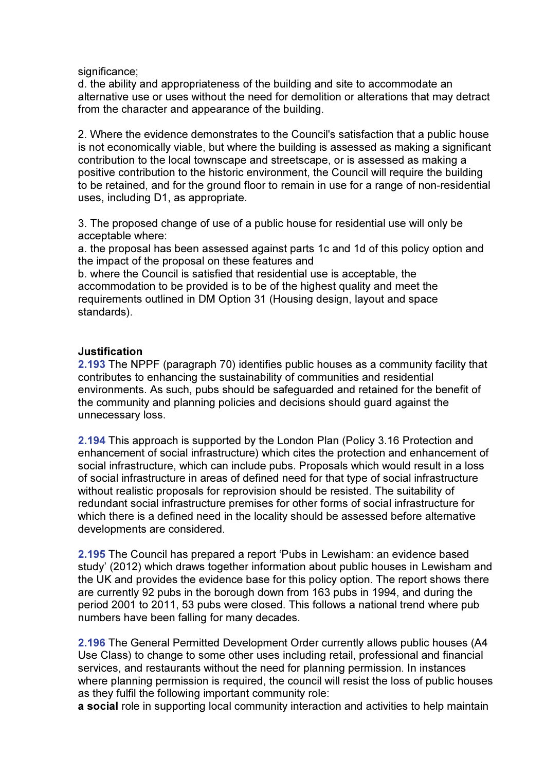significance;

d. the ability and appropriateness of the building and site to accommodate an alternative use or uses without the need for demolition or alterations that may detract from the character and appearance of the building.

2. Where the evidence demonstrates to the Council's satisfaction that a public house is not economically viable, but where the building is assessed as making a significant contribution to the local townscape and streetscape, or is assessed as making a positive contribution to the historic environment, the Council will require the building to be retained, and for the ground floor to remain in use for a range of non-residential uses, including D1, as appropriate.

3. The proposed change of use of a public house for residential use will only be acceptable where:

a. the proposal has been assessed against parts 1c and 1d of this policy option and the impact of the proposal on these features and

b. where the Council is satisfied that residential use is acceptable, the accommodation to be provided is to be of the highest quality and meet the requirements outlined in DM Option 31 (Housing design, layout and space standards).

### Justification

2.193 The NPPF (paragraph 70) identifies public houses as a community facility that contributes to enhancing the sustainability of communities and residential environments. As such, pubs should be safeguarded and retained for the benefit of the community and planning policies and decisions should guard against the unnecessary loss.

2.194 This approach is supported by the London Plan (Policy 3.16 Protection and enhancement of social infrastructure) which cites the protection and enhancement of social infrastructure, which can include pubs. Proposals which would result in a loss of social infrastructure in areas of defined need for that type of social infrastructure without realistic proposals for reprovision should be resisted. The suitability of redundant social infrastructure premises for other forms of social infrastructure for which there is a defined need in the locality should be assessed before alternative developments are considered.

2.195 The Council has prepared a report 'Pubs in Lewisham: an evidence based study' (2012) which draws together information about public houses in Lewisham and the UK and provides the evidence base for this policy option. The report shows there are currently 92 pubs in the borough down from 163 pubs in 1994, and during the period 2001 to 2011, 53 pubs were closed. This follows a national trend where pub numbers have been falling for many decades.

2.196 The General Permitted Development Order currently allows public houses (A4 Use Class) to change to some other uses including retail, professional and financial services, and restaurants without the need for planning permission. In instances where planning permission is required, the council will resist the loss of public houses as they fulfil the following important community role:

a social role in supporting local community interaction and activities to help maintain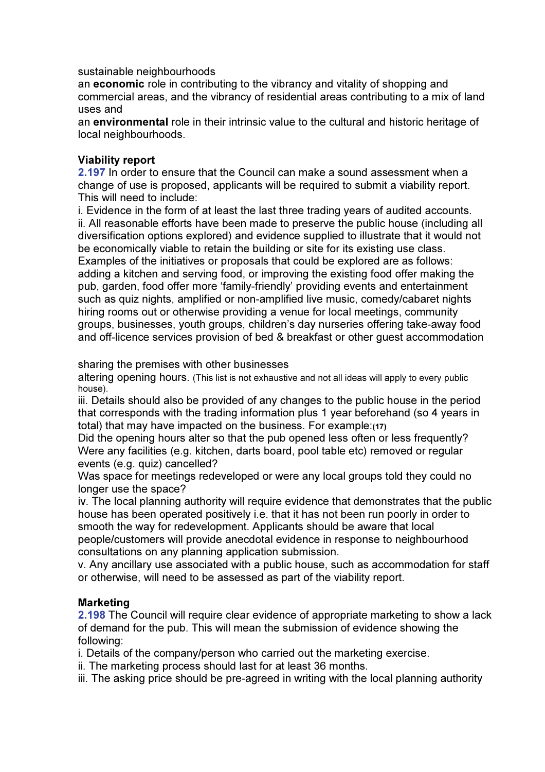sustainable neighbourhoods

an economic role in contributing to the vibrancy and vitality of shopping and commercial areas, and the vibrancy of residential areas contributing to a mix of land uses and

an environmental role in their intrinsic value to the cultural and historic heritage of local neighbourhoods.

### Viability report

2.197 In order to ensure that the Council can make a sound assessment when a change of use is proposed, applicants will be required to submit a viability report. This will need to include:

i. Evidence in the form of at least the last three trading years of audited accounts. ii. All reasonable efforts have been made to preserve the public house (including all diversification options explored) and evidence supplied to illustrate that it would not be economically viable to retain the building or site for its existing use class. Examples of the initiatives or proposals that could be explored are as follows: adding a kitchen and serving food, or improving the existing food offer making the pub, garden, food offer more 'family-friendly' providing events and entertainment such as quiz nights, amplified or non-amplified live music, comedy/cabaret nights hiring rooms out or otherwise providing a venue for local meetings, community groups, businesses, youth groups, children's day nurseries offering take-away food and off-licence services provision of bed & breakfast or other guest accommodation

sharing the premises with other businesses

altering opening hours. (This list is not exhaustive and not all ideas will apply to every public house).

iii. Details should also be provided of any changes to the public house in the period that corresponds with the trading information plus 1 year beforehand (so 4 years in total) that may have impacted on the business. For example:(17)

Did the opening hours alter so that the pub opened less often or less frequently? Were any facilities (e.g. kitchen, darts board, pool table etc) removed or regular events (e.g. quiz) cancelled?

Was space for meetings redeveloped or were any local groups told they could no longer use the space?

iv. The local planning authority will require evidence that demonstrates that the public house has been operated positively i.e. that it has not been run poorly in order to smooth the way for redevelopment. Applicants should be aware that local people/customers will provide anecdotal evidence in response to neighbourhood consultations on any planning application submission.

v. Any ancillary use associated with a public house, such as accommodation for staff or otherwise, will need to be assessed as part of the viability report.

### Marketing

2.198 The Council will require clear evidence of appropriate marketing to show a lack of demand for the pub. This will mean the submission of evidence showing the following:

i. Details of the company/person who carried out the marketing exercise.

ii. The marketing process should last for at least 36 months.

iii. The asking price should be pre-agreed in writing with the local planning authority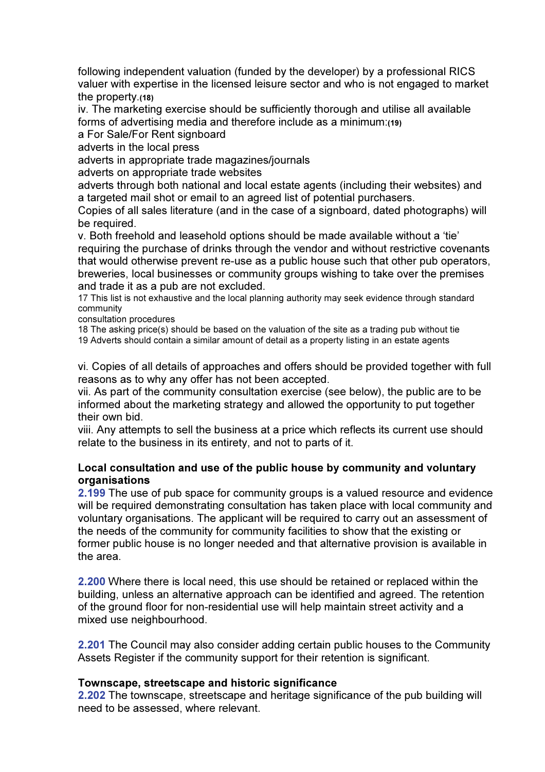following independent valuation (funded by the developer) by a professional RICS valuer with expertise in the licensed leisure sector and who is not engaged to market the property.(18)

iv. The marketing exercise should be sufficiently thorough and utilise all available forms of advertising media and therefore include as a minimum:(19)

a For Sale/For Rent signboard

adverts in the local press

adverts in appropriate trade magazines/journals

adverts on appropriate trade websites

adverts through both national and local estate agents (including their websites) and a targeted mail shot or email to an agreed list of potential purchasers.

Copies of all sales literature (and in the case of a signboard, dated photographs) will be required.

v. Both freehold and leasehold options should be made available without a 'tie' requiring the purchase of drinks through the vendor and without restrictive covenants that would otherwise prevent re-use as a public house such that other pub operators, breweries, local businesses or community groups wishing to take over the premises and trade it as a pub are not excluded.

17 This list is not exhaustive and the local planning authority may seek evidence through standard community

consultation procedures

18 The asking price(s) should be based on the valuation of the site as a trading pub without tie 19 Adverts should contain a similar amount of detail as a property listing in an estate agents

vi. Copies of all details of approaches and offers should be provided together with full reasons as to why any offer has not been accepted.

vii. As part of the community consultation exercise (see below), the public are to be informed about the marketing strategy and allowed the opportunity to put together their own bid.

viii. Any attempts to sell the business at a price which reflects its current use should relate to the business in its entirety, and not to parts of it.

### Local consultation and use of the public house by community and voluntary organisations

2.199 The use of pub space for community groups is a valued resource and evidence will be required demonstrating consultation has taken place with local community and voluntary organisations. The applicant will be required to carry out an assessment of the needs of the community for community facilities to show that the existing or former public house is no longer needed and that alternative provision is available in the area.

2.200 Where there is local need, this use should be retained or replaced within the building, unless an alternative approach can be identified and agreed. The retention of the ground floor for non-residential use will help maintain street activity and a mixed use neighbourhood.

2.201 The Council may also consider adding certain public houses to the Community Assets Register if the community support for their retention is significant.

### Townscape, streetscape and historic significance

2.202 The townscape, streetscape and heritage significance of the pub building will need to be assessed, where relevant.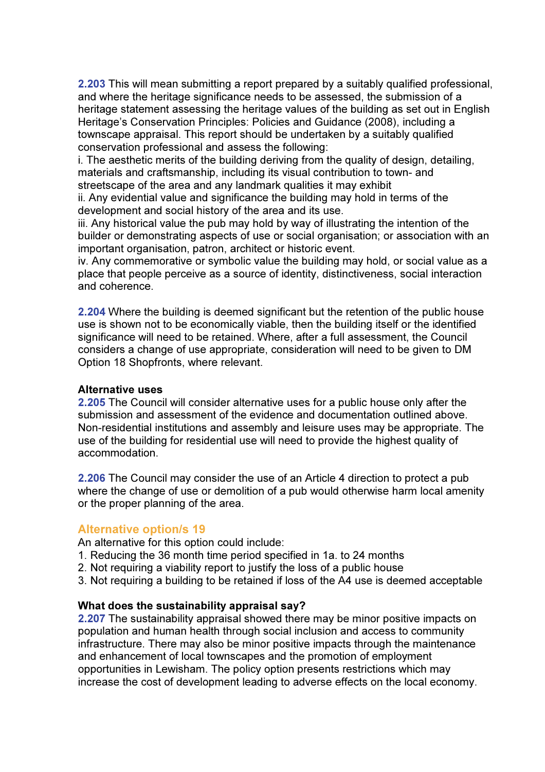2.203 This will mean submitting a report prepared by a suitably qualified professional, and where the heritage significance needs to be assessed, the submission of a heritage statement assessing the heritage values of the building as set out in English Heritage's Conservation Principles: Policies and Guidance (2008), including a townscape appraisal. This report should be undertaken by a suitably qualified conservation professional and assess the following:

i. The aesthetic merits of the building deriving from the quality of design, detailing, materials and craftsmanship, including its visual contribution to town- and streetscape of the area and any landmark qualities it may exhibit

ii. Any evidential value and significance the building may hold in terms of the development and social history of the area and its use.

iii. Any historical value the pub may hold by way of illustrating the intention of the builder or demonstrating aspects of use or social organisation; or association with an important organisation, patron, architect or historic event.

iv. Any commemorative or symbolic value the building may hold, or social value as a place that people perceive as a source of identity, distinctiveness, social interaction and coherence.

2.204 Where the building is deemed significant but the retention of the public house use is shown not to be economically viable, then the building itself or the identified significance will need to be retained. Where, after a full assessment, the Council considers a change of use appropriate, consideration will need to be given to DM Option 18 Shopfronts, where relevant.

#### Alternative uses

2.205 The Council will consider alternative uses for a public house only after the submission and assessment of the evidence and documentation outlined above. Non-residential institutions and assembly and leisure uses may be appropriate. The use of the building for residential use will need to provide the highest quality of accommodation.

2.206 The Council may consider the use of an Article 4 direction to protect a pub where the change of use or demolition of a pub would otherwise harm local amenity or the proper planning of the area.

# Alternative option/s 19

An alternative for this option could include:

- 1. Reducing the 36 month time period specified in 1a. to 24 months
- 2. Not requiring a viability report to justify the loss of a public house
- 3. Not requiring a building to be retained if loss of the A4 use is deemed acceptable

### What does the sustainability appraisal say?

2.207 The sustainability appraisal showed there may be minor positive impacts on population and human health through social inclusion and access to community infrastructure. There may also be minor positive impacts through the maintenance and enhancement of local townscapes and the promotion of employment opportunities in Lewisham. The policy option presents restrictions which may increase the cost of development leading to adverse effects on the local economy.